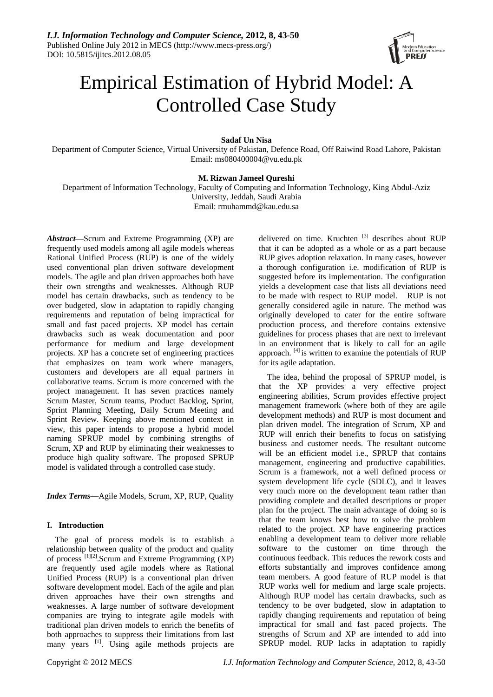

# Empirical Estimation of Hybrid Model: A Controlled Case Study

# **Sadaf Un Nisa**

Department of Computer Science, Virtual University of Pakistan, Defence Road, Off Raiwind Road Lahore, Pakistan Email: ms080400004@vu.edu.pk

# **M. Rizwan Jameel Qureshi**

Department of Information Technology, Faculty of Computing and Information Technology, King Abdul-Aziz University, Jeddah, Saudi Arabia Email: rmuhammd@kau.edu.sa

*Abstract***—**Scrum and Extreme Programming (XP) are frequently used models among all agile models whereas Rational Unified Process (RUP) is one of the widely used conventional plan driven software development models. The agile and plan driven approaches both have their own strengths and weaknesses. Although RUP model has certain drawbacks, such as tendency to be over budgeted, slow in adaptation to rapidly changing requirements and reputation of being impractical for small and fast paced projects. XP model has certain drawbacks such as weak documentation and poor performance for medium and large development projects. XP has a concrete set of engineering practices that emphasizes on team work where managers, customers and developers are all equal partners in collaborative teams. Scrum is more concerned with the project management. It has seven practices namely Scrum Master, Scrum teams, Product Backlog, Sprint, Sprint Planning Meeting, Daily Scrum Meeting and Sprint Review. Keeping above mentioned context in view, this paper intends to propose a hybrid model naming SPRUP model by combining strengths of Scrum, XP and RUP by eliminating their weaknesses to produce high quality software. The proposed SPRUP model is validated through a controlled case study.

*Index Terms***—**Agile Models, Scrum, XP, RUP, Quality

# **I. Introduction**

The goal of process models is to establish a relationship between quality of the product and quality of process<sup>[1][2]</sup>. Scrum and Extreme Programming (XP) are frequently used agile models where as Rational Unified Process (RUP) is a conventional plan driven software development model. Each of the agile and plan driven approaches have their own strengths and weaknesses. A large number of software development companies are trying to integrate agile models with traditional plan driven models to enrich the benefits of both approaches to suppress their limitations from last many years <sup>[1]</sup>. Using agile methods projects are

delivered on time. Kruchten <sup>[3]</sup> describes about RUP that it can be adopted as a whole or as a part because RUP gives adoption relaxation. In many cases, however a thorough configuration i.e. modification of RUP is suggested before its implementation. The configuration yields a development case that lists all deviations need to be made with respect to RUP model. RUP is not generally considered agile in nature. The method was originally developed to cater for the entire software production process, and therefore contains extensive guidelines for process phases that are next to irrelevant in an environment that is likely to call for an agile approach. <sup>[4]</sup> is written to examine the potentials of RUP for its agile adaptation.

The idea, behind the proposal of SPRUP model, is that the XP provides a very effective project engineering abilities, Scrum provides effective project management framework (where both of they are agile development methods) and RUP is most document and plan driven model. The integration of Scrum, XP and RUP will enrich their benefits to focus on satisfying business and customer needs. The resultant outcome will be an efficient model i.e., SPRUP that contains management, engineering and productive capabilities. Scrum is a framework, not a well defined process or system development life cycle (SDLC), and it leaves very much more on the development team rather than providing complete and detailed descriptions or proper plan for the project. The main advantage of doing so is that the team knows best how to solve the problem related to the project. XP have engineering practices enabling a development team to deliver more reliable software to the customer on time through the continuous feedback. This reduces the rework costs and efforts substantially and improves confidence among team members. A good feature of RUP model is that RUP works well for medium and large scale projects. Although RUP model has certain drawbacks, such as tendency to be over budgeted, slow in adaptation to rapidly changing requirements and reputation of being impractical for small and fast paced projects. The strengths of Scrum and XP are intended to add into SPRUP model. RUP lacks in adaptation to rapidly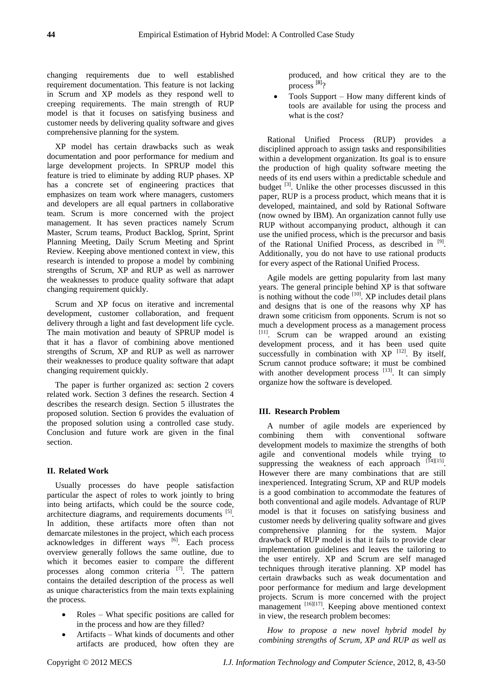changing requirements due to well established requirement documentation. This feature is not lacking in Scrum and XP models as they respond well to creeping requirements. The main strength of RUP model is that it focuses on satisfying business and customer needs by delivering quality software and gives comprehensive planning for the system.

XP model has certain drawbacks such as weak documentation and poor performance for medium and large development projects. In SPRUP model this feature is tried to eliminate by adding RUP phases. XP has a concrete set of engineering practices that emphasizes on team work where managers, customers and developers are all equal partners in collaborative team. Scrum is more concerned with the project management. It has seven practices namely Scrum Master, Scrum teams, Product Backlog, Sprint, Sprint Planning Meeting, Daily Scrum Meeting and Sprint Review. Keeping above mentioned context in view, this research is intended to propose a model by combining strengths of Scrum, XP and RUP as well as narrower the weaknesses to produce quality software that adapt changing requirement quickly.

Scrum and XP focus on iterative and incremental development, customer collaboration, and frequent delivery through a light and fast development life cycle. The main motivation and beauty of SPRUP model is that it has a flavor of combining above mentioned strengths of Scrum, XP and RUP as well as narrower their weaknesses to produce quality software that adapt changing requirement quickly.

The paper is further organized as: section 2 covers related work. Section 3 defines the research. Section 4 describes the research design. Section 5 illustrates the proposed solution. Section 6 provides the evaluation of the proposed solution using a controlled case study. Conclusion and future work are given in the final section.

# **II. Related Work**

Usually processes do have people satisfaction particular the aspect of roles to work jointly to bring into being artifacts, which could be the source code, architecture diagrams, and requirements documents  $[5]$ . In addition, these artifacts more often than not demarcate milestones in the project, which each process acknowledges in different ways [6]. Each process overview generally follows the same outline, due to which it becomes easier to compare the different processes along common criteria  $[7]$ . The pattern contains the detailed description of the process as well as unique characteristics from the main texts explaining the process.

- Roles What specific positions are called for in the process and how are they filled?
- Artifacts What kinds of documents and other artifacts are produced, how often they are

produced, and how critical they are to the process<sup>[8]</sup>?

 Tools Support – How many different kinds of tools are available for using the process and what is the cost?

Rational Unified Process (RUP) provides disciplined approach to assign tasks and responsibilities within a development organization. Its goal is to ensure the production of high quality software meeting the needs of its end users within a predictable schedule and budget  $^{[3]}$ . Unlike the other processes discussed in this paper, RUP is a process product, which means that it is developed, maintained, and sold by Rational Software (now owned by IBM). An organization cannot fully use RUP without accompanying product, although it can use the unified process, which is the precursor and basis of the Rational Unified Process, as described in <sup>[9]</sup>. Additionally, you do not have to use rational products for every aspect of the Rational Unified Process.

Agile models are getting popularity from last many years. The general principle behind XP is that software is nothing without the code  $[10]$ . XP includes detail plans and designs that is one of the reasons why XP has drawn some criticism from opponents. Scrum is not so much a development process as a management process [11] . Scrum can be wrapped around an existing development process, and it has been used quite successfully in combination with  $XP$ <sup>[12]</sup>. By itself, Scrum cannot produce software; it must be combined with another development process  $[13]$ . It can simply organize how the software is developed.

# **III. Research Problem**

A number of agile models are experienced by combining them with conventional software development models to maximize the strengths of both agile and conventional models while trying to suppressing the weakness of each approach  $[14][15]$ . However there are many combinations that are still inexperienced. Integrating Scrum, XP and RUP models is a good combination to accommodate the features of both conventional and agile models. Advantage of RUP model is that it focuses on satisfying business and customer needs by delivering quality software and gives comprehensive planning for the system. Major drawback of RUP model is that it fails to provide clear implementation guidelines and leaves the tailoring to the user entirely. XP and Scrum are self managed techniques through iterative planning. XP model has certain drawbacks such as weak documentation and poor performance for medium and large development projects. Scrum is more concerned with the project management <sup>[16][17]</sup>. Keeping above mentioned context in view, the research problem becomes:

*How to propose a new novel hybrid model by combining strengths of Scrum, XP and RUP as well as*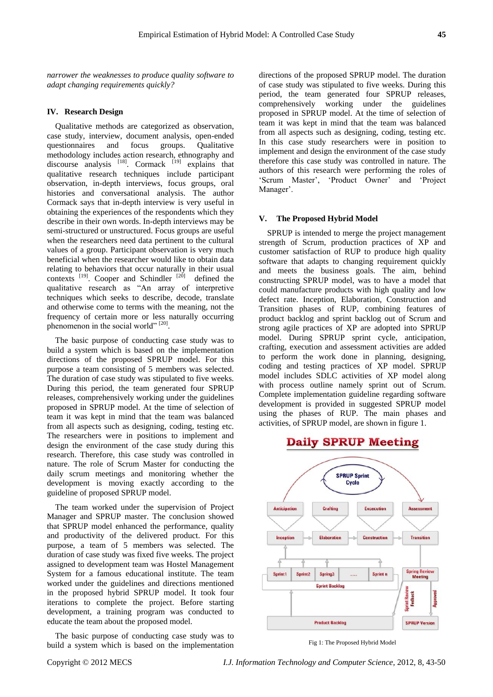*narrower the weaknesses to produce quality software to adapt changing requirements quickly?*

#### **IV. Research Design**

Qualitative methods are categorized as observation, case study, interview, document analysis, open-ended questionnaires and focus groups. Qualitative methodology includes action research, ethnography and discourse analysis  $^{[18]}$ . Cormack  $^{[19]}$  explains that qualitative research techniques include participant observation, in-depth interviews, focus groups, oral histories and conversational analysis. The author Cormack says that in-depth interview is very useful in obtaining the experiences of the respondents which they describe in their own words. In-depth interviews may be semi-structured or unstructured. Focus groups are useful when the researchers need data pertinent to the cultural values of a group. Participant observation is very much beneficial when the researcher would like to obtain data relating to behaviors that occur naturally in their usual contexts  $[19]$ . Cooper and Schindler  $[20]$  defined the qualitative research as "An array of interpretive techniques which seeks to describe, decode, translate and otherwise come to terms with the meaning, not the frequency of certain more or less naturally occurring phenomenon in the social world" [20].

The basic purpose of conducting case study was to build a system which is based on the implementation directions of the proposed SPRUP model. For this purpose a team consisting of 5 members was selected. The duration of case study was stipulated to five weeks. During this period, the team generated four SPRUP releases, comprehensively working under the guidelines proposed in SPRUP model. At the time of selection of team it was kept in mind that the team was balanced from all aspects such as designing, coding, testing etc. The researchers were in positions to implement and design the environment of the case study during this research. Therefore, this case study was controlled in nature. The role of Scrum Master for conducting the daily scrum meetings and monitoring whether the development is moving exactly according to the guideline of proposed SPRUP model.

The team worked under the supervision of Project Manager and SPRUP master. The conclusion showed that SPRUP model enhanced the performance, quality and productivity of the delivered product. For this purpose, a team of 5 members was selected. The duration of case study was fixed five weeks. The project assigned to development team was Hostel Management System for a famous educational institute. The team worked under the guidelines and directions mentioned in the proposed hybrid SPRUP model. It took four iterations to complete the project. Before starting development, a training program was conducted to educate the team about the proposed model.

The basic purpose of conducting case study was to build a system which is based on the implementation directions of the proposed SPRUP model. The duration of case study was stipulated to five weeks. During this period, the team generated four SPRUP releases, comprehensively working under the guidelines proposed in SPRUP model. At the time of selection of team it was kept in mind that the team was balanced from all aspects such as designing, coding, testing etc. In this case study researchers were in position to implement and design the environment of the case study therefore this case study was controlled in nature. The authors of this research were performing the roles of 'Scrum Master', 'Product Owner' and 'Project Manager'.

#### **V. The Proposed Hybrid Model**

SPRUP is intended to merge the project management strength of Scrum, production practices of XP and customer satisfaction of RUP to produce high quality software that adapts to changing requirement quickly and meets the business goals. The aim, behind constructing SPRUP model, was to have a model that could manufacture products with high quality and low defect rate. Inception, Elaboration, Construction and Transition phases of RUP, combining features of product backlog and sprint backlog out of Scrum and strong agile practices of XP are adopted into SPRUP model. During SPRUP sprint cycle, anticipation, crafting, execution and assessment activities are added to perform the work done in planning, designing, coding and testing practices of XP model. SPRUP model includes SDLC activities of XP model along with process outline namely sprint out of Scrum. Complete implementation guideline regarding software development is provided in suggested SPRUP model using the phases of RUP. The main phases and activities, of SPRUP model, are shown in figure 1.

# **Daily SPRUP Meeting**



Fig 1: The Proposed Hybrid Model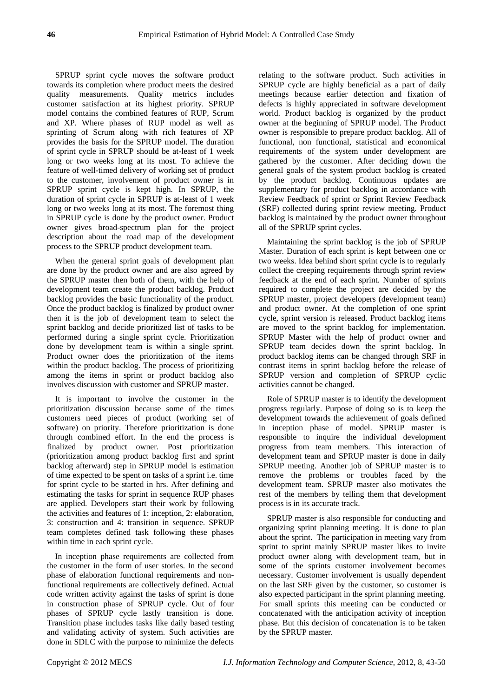SPRUP sprint cycle moves the software product towards its completion where product meets the desired quality measurements. Quality metrics includes customer satisfaction at its highest priority. SPRUP model contains the combined features of RUP, Scrum and XP. Where phases of RUP model as well as sprinting of Scrum along with rich features of XP provides the basis for the SPRUP model. The duration of sprint cycle in SPRUP should be at-least of 1 week long or two weeks long at its most. To achieve the feature of well-timed delivery of working set of product to the customer, involvement of product owner is in SPRUP sprint cycle is kept high. In SPRUP, the duration of sprint cycle in SPRUP is at-least of 1 week long or two weeks long at its most. The foremost thing in SPRUP cycle is done by the product owner. Product owner gives broad-spectrum plan for the project description about the road map of the development process to the SPRUP product development team.

When the general sprint goals of development plan are done by the product owner and are also agreed by the SPRUP master then both of them, with the help of development team create the product backlog. Product backlog provides the basic functionality of the product. Once the product backlog is finalized by product owner then it is the job of development team to select the sprint backlog and decide prioritized list of tasks to be performed during a single sprint cycle. Prioritization done by development team is within a single sprint. Product owner does the prioritization of the items within the product backlog. The process of prioritizing among the items in sprint or product backlog also involves discussion with customer and SPRUP master.

It is important to involve the customer in the prioritization discussion because some of the times customers need pieces of product (working set of software) on priority. Therefore prioritization is done through combined effort. In the end the process is finalized by product owner. Post prioritization (prioritization among product backlog first and sprint backlog afterward) step in SPRUP model is estimation of time expected to be spent on tasks of a sprint i.e. time for sprint cycle to be started in hrs. After defining and estimating the tasks for sprint in sequence RUP phases are applied. Developers start their work by following the activities and features of 1: inception, 2: elaboration, 3: construction and 4: transition in sequence. SPRUP team completes defined task following these phases within time in each sprint cycle.

In inception phase requirements are collected from the customer in the form of user stories. In the second phase of elaboration functional requirements and nonfunctional requirements are collectively defined. Actual code written activity against the tasks of sprint is done in construction phase of SPRUP cycle. Out of four phases of SPRUP cycle lastly transition is done. Transition phase includes tasks like daily based testing and validating activity of system. Such activities are done in SDLC with the purpose to minimize the defects

relating to the software product. Such activities in SPRUP cycle are highly beneficial as a part of daily meetings because earlier detection and fixation of defects is highly appreciated in software development world. Product backlog is organized by the product owner at the beginning of SPRUP model. The Product owner is responsible to prepare product backlog. All of functional, non functional, statistical and economical requirements of the system under development are gathered by the customer. After deciding down the general goals of the system product backlog is created by the product backlog. Continuous updates are supplementary for product backlog in accordance with Review Feedback of sprint or Sprint Review Feedback (SRF) collected during sprint review meeting. Product backlog is maintained by the product owner throughout all of the SPRUP sprint cycles.

Maintaining the sprint backlog is the job of SPRUP Master. Duration of each sprint is kept between one or two weeks. Idea behind short sprint cycle is to regularly collect the creeping requirements through sprint review feedback at the end of each sprint. Number of sprints required to complete the project are decided by the SPRUP master, project developers (development team) and product owner. At the completion of one sprint cycle, sprint version is released. Product backlog items are moved to the sprint backlog for implementation. SPRUP Master with the help of product owner and SPRUP team decides down the sprint backlog. In product backlog items can be changed through SRF in contrast items in sprint backlog before the release of SPRUP version and completion of SPRUP cyclic activities cannot be changed.

Role of SPRUP master is to identify the development progress regularly. Purpose of doing so is to keep the development towards the achievement of goals defined in inception phase of model. SPRUP master is responsible to inquire the individual development progress from team members. This interaction of development team and SPRUP master is done in daily SPRUP meeting. Another job of SPRUP master is to remove the problems or troubles faced by the development team. SPRUP master also motivates the rest of the members by telling them that development process is in its accurate track.

SPRUP master is also responsible for conducting and organizing sprint planning meeting. It is done to plan about the sprint. The participation in meeting vary from sprint to sprint mainly SPRUP master likes to invite product owner along with development team, but in some of the sprints customer involvement becomes necessary. Customer involvement is usually dependent on the last SRF given by the customer, so customer is also expected participant in the sprint planning meeting. For small sprints this meeting can be conducted or concatenated with the anticipation activity of inception phase. But this decision of concatenation is to be taken by the SPRUP master.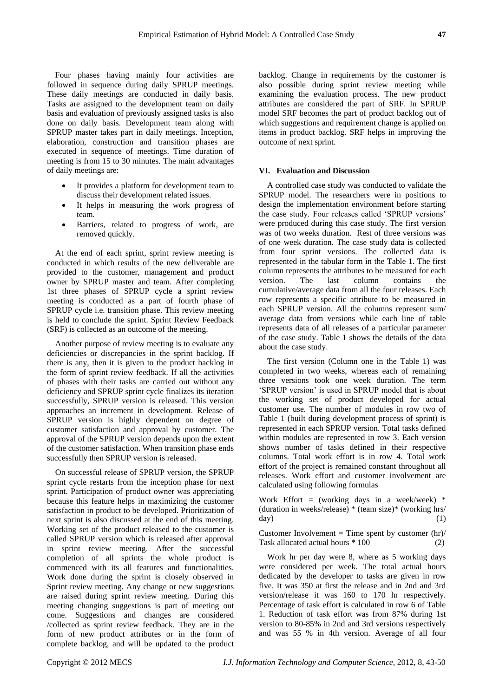Four phases having mainly four activities are followed in sequence during daily SPRUP meetings. These daily meetings are conducted in daily basis. Tasks are assigned to the development team on daily basis and evaluation of previously assigned tasks is also done on daily basis. Development team along with SPRUP master takes part in daily meetings. Inception, elaboration, construction and transition phases are executed in sequence of meetings. Time duration of meeting is from 15 to 30 minutes. The main advantages of daily meetings are:

- It provides a platform for development team to discuss their development related issues.
- It helps in measuring the work progress of team.
- Barriers, related to progress of work, are removed quickly.

At the end of each sprint, sprint review meeting is conducted in which results of the new deliverable are provided to the customer, management and product owner by SPRUP master and team. After completing 1st three phases of SPRUP cycle a sprint review meeting is conducted as a part of fourth phase of SPRUP cycle i.e. transition phase. This review meeting is held to conclude the sprint. Sprint Review Feedback (SRF) is collected as an outcome of the meeting.

Another purpose of review meeting is to evaluate any deficiencies or discrepancies in the sprint backlog. If there is any, then it is given to the product backlog in the form of sprint review feedback. If all the activities of phases with their tasks are carried out without any deficiency and SPRUP sprint cycle finalizes its iteration successfully, SPRUP version is released. This version approaches an increment in development. Release of SPRUP version is highly dependent on degree of customer satisfaction and approval by customer. The approval of the SPRUP version depends upon the extent of the customer satisfaction. When transition phase ends successfully then SPRUP version is released.

On successful release of SPRUP version, the SPRUP sprint cycle restarts from the inception phase for next sprint. Participation of product owner was appreciating because this feature helps in maximizing the customer satisfaction in product to be developed. Prioritization of next sprint is also discussed at the end of this meeting. Working set of the product released to the customer is called SPRUP version which is released after approval in sprint review meeting. After the successful completion of all sprints the whole product is commenced with its all features and functionalities. Work done during the sprint is closely observed in Sprint review meeting. Any change or new suggestions are raised during sprint review meeting. During this meeting changing suggestions is part of meeting out come. Suggestions and changes are considered /collected as sprint review feedback. They are in the form of new product attributes or in the form of complete backlog, and will be updated to the product

backlog. Change in requirements by the customer is also possible during sprint review meeting while examining the evaluation process. The new product attributes are considered the part of SRF. In SPRUP model SRF becomes the part of product backlog out of which suggestions and requirement change is applied on items in product backlog. SRF helps in improving the outcome of next sprint.

#### **VI. Evaluation and Discussion**

A controlled case study was conducted to validate the SPRUP model. The researchers were in positions to design the implementation environment before starting the case study. Four releases called "SPRUP versions" were produced during this case study. The first version was of two weeks duration. Rest of three versions was of one week duration. The case study data is collected from four sprint versions. The collected data is represented in the tabular form in the Table 1. The first column represents the attributes to be measured for each version. The last column contains the cumulative/average data from all the four releases. Each row represents a specific attribute to be measured in each SPRUP version. All the columns represent sum/ average data from versions while each line of table represents data of all releases of a particular parameter of the case study. Table 1 shows the details of the data about the case study.

The first version (Column one in the Table 1) was completed in two weeks, whereas each of remaining three versions took one week duration. The term "SPRUP version" is used in SPRUP model that is about the working set of product developed for actual customer use. The number of modules in row two of Table 1 (built during development process of sprint) is represented in each SPRUP version. Total tasks defined within modules are represented in row 3. Each version shows number of tasks defined in their respective columns. Total work effort is in row 4. Total work effort of the project is remained constant throughout all releases. Work effort and customer involvement are calculated using following formulas

Work Effort = (working days in a week/week)  $*$ (duration in weeks/release) \* (team size)\* (working hrs/  $day)$  (1)

Customer Involvement = Time spent by customer  $\frac{(\frac{h}{c})}{\sqrt{h}}$ Task allocated actual hours  $* 100$  (2)

Work hr per day were 8, where as 5 working days were considered per week. The total actual hours dedicated by the developer to tasks are given in row five. It was 350 at first the release and in 2nd and 3rd version/release it was 160 to 170 hr respectively. Percentage of task effort is calculated in row 6 of Table 1. Reduction of task effort was from 87% during 1st version to 80-85% in 2nd and 3rd versions respectively and was 55 % in 4th version. Average of all four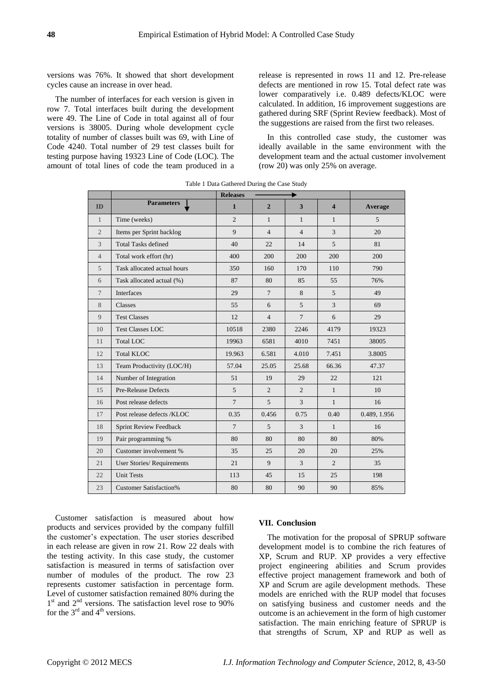versions was 76%. It showed that short development cycles cause an increase in over head.

The number of interfaces for each version is given in row 7. Total interfaces built during the development were 49. The Line of Code in total against all of four versions is 38005. During whole development cycle totality of number of classes built was 69, with Line of Code 4240. Total number of 29 test classes built for testing purpose having 19323 Line of Code (LOC). The amount of total lines of code the team produced in a release is represented in rows 11 and 12. Pre-release defects are mentioned in row 15. Total defect rate was lower comparatively i.e. 0.489 defects/KLOC were calculated. In addition, 16 improvement suggestions are gathered during SRF (Sprint Review feedback). Most of the suggestions are raised from the first two releases.

In this controlled case study, the customer was ideally available in the same environment with the development team and the actual customer involvement (row 20) was only 25% on average.

|                | <b>Releases</b><br>۰          |                |                |                         |                         |              |
|----------------|-------------------------------|----------------|----------------|-------------------------|-------------------------|--------------|
| ID             | <b>Parameters</b>             | $\mathbf{1}$   | $\overline{2}$ | $\overline{\mathbf{3}}$ | $\overline{\mathbf{4}}$ | Average      |
| $\mathbf{1}$   | Time (weeks)                  | $\overline{c}$ | $\mathbf{1}$   | $\mathbf{1}$            | $\mathbf{1}$            | 5            |
| $\overline{c}$ | Items per Sprint backlog      | 9              | $\overline{4}$ | $\overline{4}$          | $\overline{3}$          | 20           |
| 3              | <b>Total Tasks defined</b>    | 40             | 22             | 14                      | 5                       | 81           |
| $\overline{4}$ | Total work effort (hr)        | 400            | 200            | 200                     | 200                     | 200          |
| 5              | Task allocated actual hours   | 350            | 160            | 170                     | 110                     | 790          |
| 6              | Task allocated actual (%)     | 87             | 80             | 85                      | 55                      | 76%          |
| $\tau$         | <b>Interfaces</b>             | 29             | $\overline{7}$ | 8                       | $\overline{5}$          | 49           |
| 8              | Classes                       | 55             | 6              | 5                       | 3                       | 69           |
| 9              | <b>Test Classes</b>           | 12             | $\overline{4}$ | $\overline{7}$          | 6                       | 29           |
| 10             | <b>Test Classes LOC</b>       | 10518          | 2380           | 2246                    | 4179                    | 19323        |
| 11             | <b>Total LOC</b>              | 19963          | 6581           | 4010                    | 7451                    | 38005        |
| 12             | <b>Total KLOC</b>             | 19.963         | 6.581          | 4.010                   | 7.451                   | 3.8005       |
| 13             | Team Productivity (LOC/H)     | 57.04          | 25.05          | 25.68                   | 66.36                   | 47.37        |
| 14             | Number of Integration         | 51             | 19             | 29                      | 22                      | 121          |
| 15             | Pre-Release Defects           | 5              | $\overline{2}$ | 2                       | $\mathbf{1}$            | 10           |
| 16             | Post release defects          | $\overline{7}$ | 5              | $\overline{3}$          | $\mathbf{1}$            | 16           |
| 17             | Post release defects /KLOC    | 0.35           | 0.456          | 0.75                    | 0.40                    | 0.489, 1.956 |
| 18             | Sprint Review Feedback        | $\tau$         | 5              | 3                       | $\mathbf{1}$            | 16           |
| 19             | Pair programming %            | 80             | 80             | 80                      | 80                      | 80%          |
| 20             | Customer involvement %        | 35             | 25             | 20                      | 20                      | 25%          |
| 21             | User Stories/Requirements     | 21             | 9              | 3                       | $\overline{2}$          | 35           |
| 22             | <b>Unit Tests</b>             | 113            | 45             | 15                      | 25                      | 198          |
| 23             | <b>Customer Satisfaction%</b> | 80             | 80             | 90                      | 90                      | 85%          |

Table 1 Data Gathered During the Case Study

Customer satisfaction is measured about how products and services provided by the company fulfill the customer"s expectation. The user stories described in each release are given in row 21. Row 22 deals with the testing activity. In this case study, the customer satisfaction is measured in terms of satisfaction over number of modules of the product. The row 23 represents customer satisfaction in percentage form. Level of customer satisfaction remained 80% during the 1<sup>st</sup> and 2<sup>nd</sup> versions. The satisfaction level rose to 90% for the  $3<sup>rd</sup>$  and  $4<sup>th</sup>$  versions.

# **VII. Conclusion**

The motivation for the proposal of SPRUP software development model is to combine the rich features of XP, Scrum and RUP. XP provides a very effective project engineering abilities and Scrum provides effective project management framework and both of XP and Scrum are agile development methods. These models are enriched with the RUP model that focuses on satisfying business and customer needs and the outcome is an achievement in the form of high customer satisfaction. The main enriching feature of SPRUP is that strengths of Scrum, XP and RUP as well as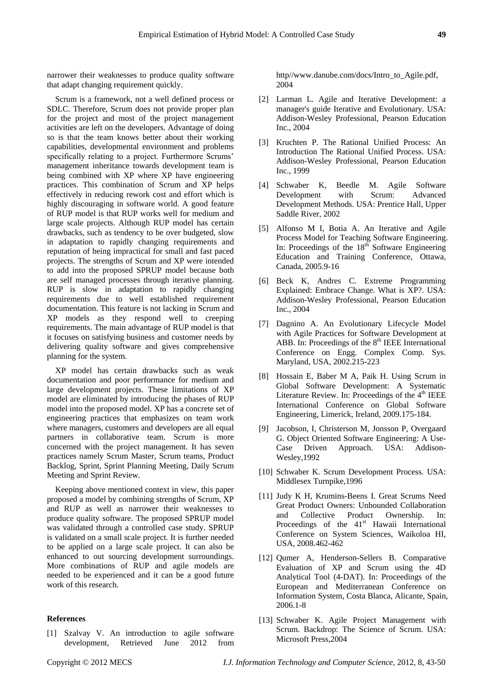narrower their weaknesses to produce quality software that adapt changing requirement quickly.

Scrum is a framework, not a well defined process or SDLC. Therefore, Scrum does not provide proper plan for the project and most of the project management activities are left on the developers. Advantage of doing so is that the team knows better about their working capabilities, developmental environment and problems specifically relating to a project. Furthermore Scrums' management inheritance towards development team is being combined with XP where XP have engineering practices. This combination of Scrum and XP helps effectively in reducing rework cost and effort which is highly discouraging in software world. A good feature of RUP model is that RUP works well for medium and large scale projects. Although RUP model has certain drawbacks, such as tendency to be over budgeted, slow in adaptation to rapidly changing requirements and reputation of being impractical for small and fast paced projects. The strengths of Scrum and XP were intended to add into the proposed SPRUP model because both are self managed processes through iterative planning. RUP is slow in adaptation to rapidly changing requirements due to well established requirement documentation. This feature is not lacking in Scrum and XP models as they respond well to creeping requirements. The main advantage of RUP model is that it focuses on satisfying business and customer needs by delivering quality software and gives comprehensive planning for the system.

XP model has certain drawbacks such as weak documentation and poor performance for medium and large development projects. These limitations of XP model are eliminated by introducing the phases of RUP model into the proposed model. XP has a concrete set of engineering practices that emphasizes on team work where managers, customers and developers are all equal partners in collaborative team. Scrum is more concerned with the project management. It has seven practices namely Scrum Master, Scrum teams, Product Backlog, Sprint, Sprint Planning Meeting, Daily Scrum Meeting and Sprint Review.

Keeping above mentioned context in view, this paper proposed a model by combining strengths of Scrum, XP and RUP as well as narrower their weaknesses to produce quality software. The proposed SPRUP model was validated through a controlled case study. SPRUP is validated on a small scale project. It is further needed to be applied on a large scale project. It can also be enhanced to out sourcing development surroundings. More combinations of RUP and agile models are needed to be experienced and it can be a good future work of this research.

#### **References**

[1] Szalvay V. An introduction to agile software development, Retrieved June 2012 from http//www.danube.com/docs/Intro\_to\_Agile.pdf, 2004

- [2] Larman L. Agile and Iterative Development: a manager's guide Iterative and Evolutionary. USA: Addison-Wesley Professional, Pearson Education Inc., 2004
- [3] Kruchten P. The Rational Unified Process: An Introduction The Rational Unified Process. USA: Addison-Wesley Professional, Pearson Education Inc., 1999
- [4] Schwaber K, Beedle M. Agile Software Development with Scrum: Advanced Development Methods. USA: Prentice Hall, Upper Saddle River, 2002
- [5] Alfonso M I, Botia A. An Iterative and Agile Process Model for Teaching Software Engineering. In: Proceedings of the  $18<sup>th</sup>$  Software Engineering Education and Training Conference, Ottawa, Canada, 2005.9-16
- [6] Beck K, Andres C. Extreme Programming Explained: Embrace Change. What is XP?. USA: Addison-Wesley Professional, Pearson Education Inc., 2004
- [7] Dagnino A. An Evolutionary Lifecycle Model with Agile Practices for Software Development at ABB. In: Proceedings of the  $8<sup>th</sup>$  IEEE International Conference on Engg. Complex Comp. Sys. Maryland, USA, 2002.215-223
- [8] Hossain E, Baber M A, Paik H. Using Scrum in Global Software Development: A Systematic Literature Review. In: Proceedings of the 4<sup>th</sup> IEEE International Conference on Global Software Engineering, Limerick, Ireland, 2009.175-184.
- [9] Jacobson, I, Christerson M, Jonsson P, Overgaard G. Object Oriented Software Engineering: A Use-Case Driven Approach. USA: Addison-Wesley,1992
- [10] Schwaber K. Scrum Development Process. USA: Middlesex Turnpike,1996
- [11] Judy K H, Krumins-Beens I. Great Scrums Need Great Product Owners: Unbounded Collaboration and Collective Product Ownership. In: Proceedings of the 41<sup>st</sup> Hawaii International Conference on System Sciences, Waikoloa HI, USA, 2008.462-462
- [12] Qumer A, Henderson-Sellers B. Comparative Evaluation of XP and Scrum using the 4D Analytical Tool (4-DAT). In: Proceedings of the European and Mediterranean Conference on Information System, Costa Blanca, Alicante, Spain, 2006.1-8
- [13] Schwaber K. Agile Project Management with Scrum. Backdrop: The Science of Scrum. USA: Microsoft Press,2004